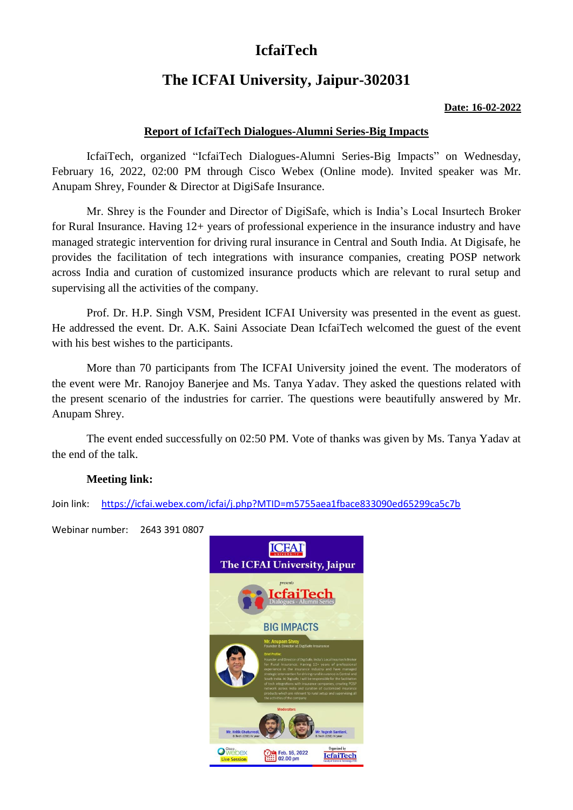# **IcfaiTech**

# **The ICFAI University, Jaipur-302031**

#### **Date: 16-02-2022**

## **Report of IcfaiTech Dialogues-Alumni Series-Big Impacts**

IcfaiTech, organized "IcfaiTech Dialogues-Alumni Series-Big Impacts" on Wednesday, February 16, 2022, 02:00 PM through Cisco Webex (Online mode). Invited speaker was Mr. Anupam Shrey, Founder & Director at DigiSafe Insurance.

Mr. Shrey is the Founder and Director of DigiSafe, which is India's Local Insurtech Broker for Rural Insurance. Having 12+ years of professional experience in the insurance industry and have managed strategic intervention for driving rural insurance in Central and South India. At Digisafe, he provides the facilitation of tech integrations with insurance companies, creating POSP network across India and curation of customized insurance products which are relevant to rural setup and supervising all the activities of the company.

Prof. Dr. H.P. Singh VSM, President ICFAI University was presented in the event as guest. He addressed the event. Dr. A.K. Saini Associate Dean IcfaiTech welcomed the guest of the event with his best wishes to the participants.

More than 70 participants from The ICFAI University joined the event. The moderators of the event were Mr. Ranojoy Banerjee and Ms. Tanya Yadav. They asked the questions related with the present scenario of the industries for carrier. The questions were beautifully answered by Mr. Anupam Shrey.

The event ended successfully on 02:50 PM. Vote of thanks was given by Ms. Tanya Yadav at the end of the talk.

### **Meeting link:**

Join link: <https://icfai.webex.com/icfai/j.php?MTID=m5755aea1fbace833090ed65299ca5c7b>

Webinar number: 2643 391 0807